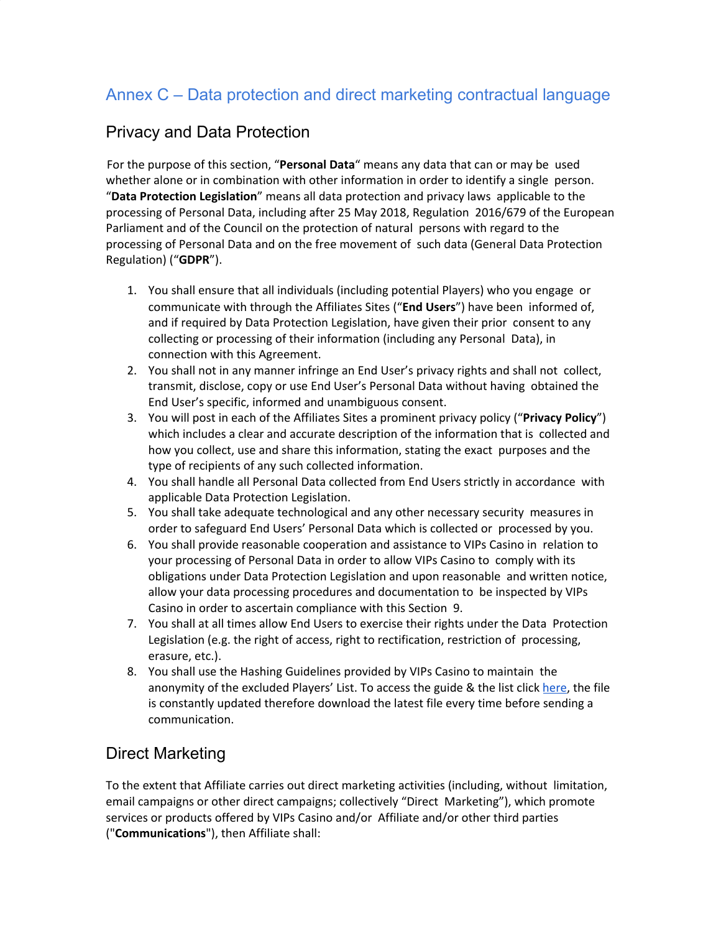## Annex C – Data protection and direct marketing contractual language

## Privacy and Data Protection

For the purpose of this section, "**Personal Data**" means any data that can or may be used whether alone or in combination with other information in order to identify a single person. "**Data Protection Legislation**" means all data protection and privacy laws applicable to the processing of Personal Data, including after 25 May 2018, Regulation 2016/679 of the European Parliament and of the Council on the protection of natural persons with regard to the processing of Personal Data and on the free movement of such data (General Data Protection Regulation) ("**GDPR**").

- 1. You shall ensure that all individuals (including potential Players) who you engage or communicate with through the Affiliates Sites ("**End Users**") have been informed of, and if required by Data Protection Legislation, have given their prior consent to any collecting or processing of their information (including any Personal Data), in connection with this Agreement.
- 2. You shall not in any manner infringe an End User's privacy rights and shall not collect, transmit, disclose, copy or use End User's Personal Data without having obtained the End User's specific, informed and unambiguous consent.
- 3. You will post in each of the Affiliates Sites a prominent privacy policy ("**Privacy Policy**") which includes a clear and accurate description of the information that is collected and how you collect, use and share this information, stating the exact purposes and the type of recipients of any such collected information.
- 4. You shall handle all Personal Data collected from End Users strictly in accordance with applicable Data Protection Legislation.
- 5. You shall take adequate technological and any other necessary security measures in order to safeguard End Users' Personal Data which is collected or processed by you.
- 6. You shall provide reasonable cooperation and assistance to VIPs Casino in relation to your processing of Personal Data in order to allow VIPs Casino to comply with its obligations under Data Protection Legislation and upon reasonable and written notice, allow your data processing procedures and documentation to be inspected by VIPs Casino in order to ascertain compliance with this Section 9.
- 7. You shall at all times allow End Users to exercise their rights under the Data Protection Legislation (e.g. the right of access, right to rectification, restriction of processing, erasure, etc.).
- 8. You shall use the Hashing Guidelines provided by VIPs Casino to maintain the anonymity of the excluded Players' List. To access the guide & the list click [here,](https://aspireglobalasg-my.sharepoint.com/:f:/g/personal/asg_aspireglobal_com/Ep1wQvzQ2RhFoYs8WTrx_8wBB-F_DmRVq9LfR8fIb8ejWw) the file is constantly updated therefore download the latest file every time before sending a communication.

## Direct Marketing

To the extent that Affiliate carries out direct marketing activities (including, without limitation, email campaigns or other direct campaigns; collectively "Direct Marketing"), which promote services or products offered by VIPs Casino and/or Affiliate and/or other third parties ("**Communications**"), then Affiliate shall: